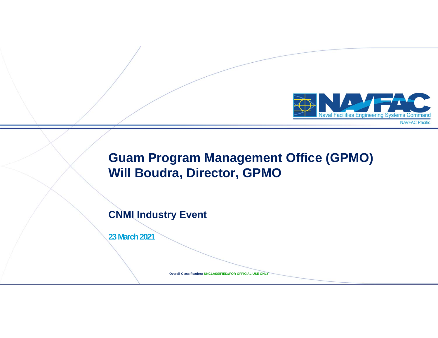

## **Guam Program Management Office (GPMO) Will Boudra, Director, GPMO**

### **CNMI Industry Event**

**23 March 2021**

**Overall Classification: UNCLASSIFIED//FOR OFFICIAL USE ONLY**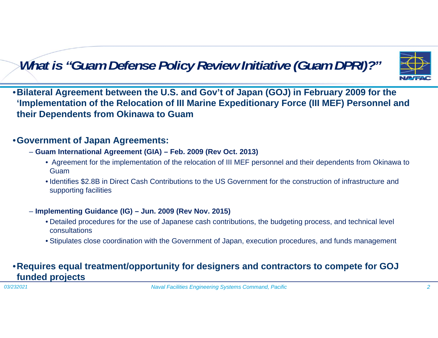# *What is "Guam Defense Policy Review Initiative (Guam DPRI)?"*



•**Bilateral Agreement between the U.S. and Gov't of Japan (GOJ) in February 2009 for the 'Implementation of the Relocation of III Marine Expeditionary Force (III MEF) Personnel and their Dependents from Okinawa to Guam**

### •**Government of Japan Agreements:**

- **Guam International Agreement (GIA) – Feb. 2009 (Rev Oct. 2013)**
	- Agreement for the implementation of the relocation of III MEF personnel and their dependents from Okinawa to Guam
	- Identifies \$2.8B in Direct Cash Contributions to the US Government for the construction of infrastructure and supporting facilities

### – **Implementing Guidance (IG) – Jun. 2009 (Rev Nov. 2015)**

- Detailed procedures for the use of Japanese cash contributions, the budgeting process, and technical level consultations
- Stipulates close coordination with the Government of Japan, execution procedures, and funds management

### •**Requires equal treatment/opportunity for designers and contractors to compete for GOJ funded projects**

*03/232021*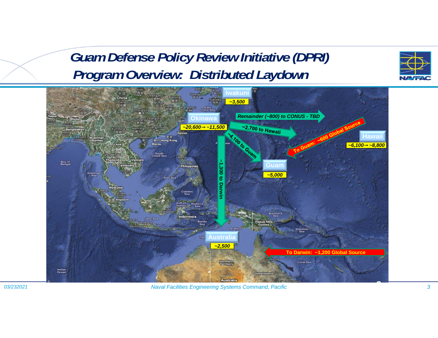# *Guam Defense Policy Review Initiative (DPRI) Program Overview: Distributed Laydown*



*03/232021*

*Naval Facilities Engineering Systems Command, Pacific 3*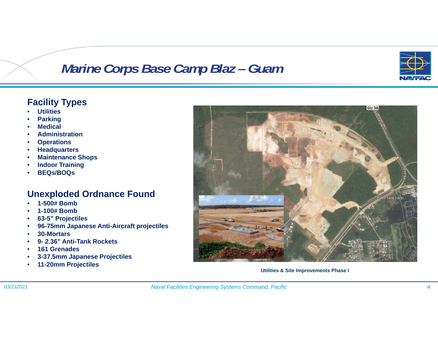# *Marine Corps Base Camp Blaz* – Guam



### **Facility Types**

- •**Utilities**
- •**Parking**
- •**Medical**
- •**Administration**
- •**Operations**
- •**Headquarters**
- •**Maintenance Shops**
- •**Indoor Training**
- •**BEQs/BOQs**

### **Unexploded Ordnance Found**

- •**1-500# Bomb**
- •**1-100# Bomb**
- •**63-5" Projectiles**
- •**96-75mm Japanese Anti-Aircraft projectiles**
- •**30-Mortars**
- •**9- 2.36" Anti-Tank Rockets**
- •**161 Grenades**
- •**3-37.5mm Japanese Projectiles**
- •**11-20mm Projectiles**



**Utilities & Site Improvements Phase I**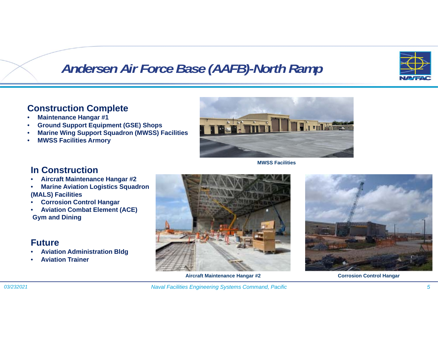

# *Andersen Air Force Base (AAFB)-North Ramp*

### **Construction Complete**

- •**Maintenance Hangar #1**
- •**Ground Support Equipment (GSE) Shops**
- •**Marine Wing Support Squadron (MWSS) Facilities**
- •**MWSS Facilities Armory**



**MWSS Facilities**

### **In Construction**

- •**Aircraft Maintenance Hangar #2**
- • **Marine Aviation Logistics Squadron (MALS) Facilities**
- •**Corrosion Control Hangar**
- • **Aviation Combat Element (ACE) Gym and Dining**

### **Future**

- •**Aviation Administration Bldg**
- •**Aviation Trainer**



**Aircraft Maintenance Hangar #2 Corrosion Control Hangar**



*Naval Facilities Engineering Systems Command, Pacific 5*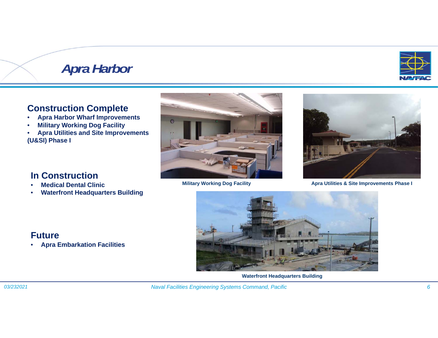# *Apra Harbor*

### **Construction Complete**

- •**Apra Harbor Wharf Improvements**
- •**Military Working Dog Facility**
- • **Apra Utilities and Site Improvements (U&SI) Phase I**





**Military Working Dog Facility <b>Alternative State Improvements Phase I** Apra Utilities & Site Improvements Phase I

### **In Construction**

- •**Medical Dental Clinic**
- •**Waterfront Headquarters Building**



**Waterfront Headquarters Building**

### **Future**

•**Apra Embarkation Facilities**

*03/232021*

*Naval Facilities Engineering Systems Command, Pacific 6*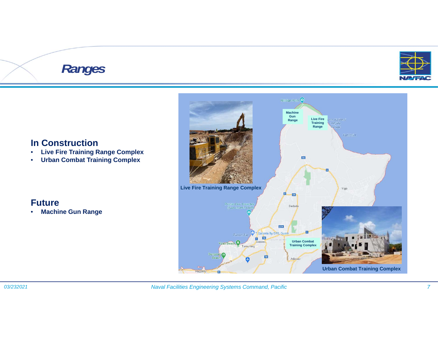# *Ranges*



### **In Construction**

- $\bullet$ **Live Fire Training Range Complex**
- $\bullet$ **Urban Combat Training Complex**



### **Future**

•**Machine Gun Range**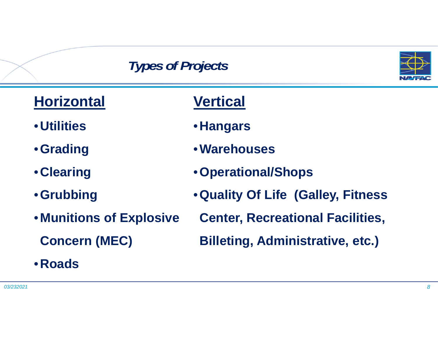# *Types of Projects*



| <b>Horizontal</b>               | <b>Vertical</b>                         |
|---------------------------------|-----------------------------------------|
| <b>• Utilities</b>              | • Hangars                               |
| • Grading                       | • Warehouses                            |
| • Clearing                      | • Operational/Shops                     |
| • Grubbing                      | . Quality Of Life (Galley, Fitness      |
| <b>. Munitions of Explosive</b> | <b>Center, Recreational Facilities,</b> |
| <b>Concern (MEC)</b>            | <b>Billeting, Administrative, etc.)</b> |
| • Roads                         |                                         |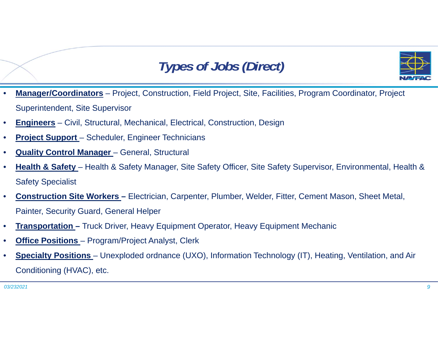# *Types of Jobs (Direct)*



- • **Manager/Coordinators** – Project, Construction, Field Project, Site, Facilities, Program Coordinator, Project Superintendent, Site Supervisor
- •**Engineers** – Civil, Structural, Mechanical, Electrical, Construction, Design
- •**Project Support** – Scheduler, Engineer Technicians
- •**Quality Control Manager** – General, Structural
- • **Health & Safety** – Health & Safety Manager, Site Safety Officer, Site Safety Supervisor, Environmental, Health & Safety Specialist
- • **Construction Site Workers –** Electrician, Carpenter, Plumber, Welder, Fitter, Cement Mason, Sheet Metal, Painter, Security Guard, General Helper
- •**Transportation –** Truck Driver, Heavy Equipment Operator, Heavy Equipment Mechanic
- •**Office Positions** – Program/Project Analyst, Clerk
- • **Specialty Positions** – Unexploded ordnance (UXO), Information Technology (IT), Heating, Ventilation, and Air Conditioning (HVAC), etc.

*03/2320219*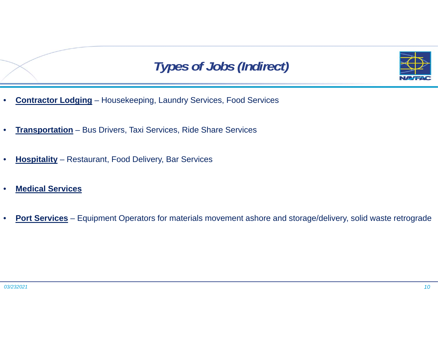



- •**Contractor Lodging** – Housekeeping, Laundry Services, Food Services
- •**Transportation** – Bus Drivers, Taxi Services, Ride Share Services
- •**Hospitality** – Restaurant, Food Delivery, Bar Services
- •**Medical Services**
- •**Port Services** – Equipment Operators for materials movement ashore and storage/delivery, solid waste retrograde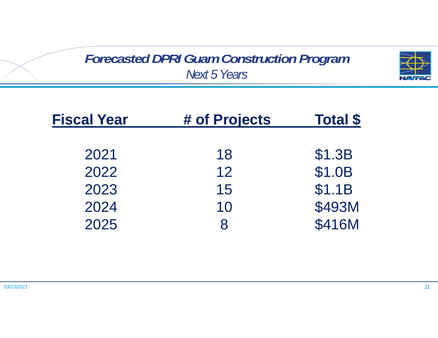*Forecasted DPRI Guam Construction Program Next 5 Years*



| <b>Fiscal Year</b> | # of Projects | <b>Total \$</b> |
|--------------------|---------------|-----------------|
| 2021               | 18            | \$1.3B          |
| 2022               | 12            | \$1.0B          |
| 2023               | 15            | \$1.1B          |
| 2024               | 10            | \$493M          |
| 2025               |               | \$416M          |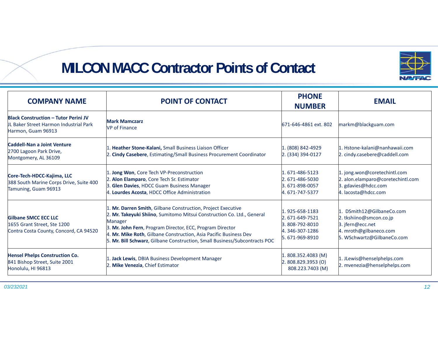

## **MILCON MACC Contractor Points of Contact**

| <b>COMPANY NAME</b>                                                                                         | <b>POINT OF CONTACT</b>                                                                                                                                                                                                                                                                                                                                           | <b>PHONE</b><br><b>NUMBER</b>                                                          | <b>EMAIL</b>                                                                                                                     |
|-------------------------------------------------------------------------------------------------------------|-------------------------------------------------------------------------------------------------------------------------------------------------------------------------------------------------------------------------------------------------------------------------------------------------------------------------------------------------------------------|----------------------------------------------------------------------------------------|----------------------------------------------------------------------------------------------------------------------------------|
| <b>Black Construction - Tutor Perini JV</b><br>UL Baker Street Harmon Industrial Park<br>Harmon, Guam 96913 | <b>Mark Mamczarz</b><br><b>VP</b> of Finance                                                                                                                                                                                                                                                                                                                      | 671-646-4861 ext. 802                                                                  | markm@blackguam.com                                                                                                              |
| Caddell-Nan a Joint Venture<br>2700 Lagoon Park Drive,<br>Montgomery, AL 36109                              | 1. Heather Stone-Kalani, Small Business Liaison Officer<br>2. Cindy Casebere, Estimating/Small Business Procurement Coordinator                                                                                                                                                                                                                                   | 1. (808) 842-4929<br>$ 2. (334) 394 - 0127$                                            | 1. Hstone-kalani@nanhawaii.com<br>2. cindy.casebere@caddell.com                                                                  |
| Core-Tech-HDCC-Kajima, LLC<br>388 South Marine Corps Drive, Suite 400<br>Tamuning, Guam 96913               | 1. Jong Won, Core Tech VP-Preconstruction<br>2. Alon Elamparo, Core Tech Sr. Estimator<br>3. Glen Davies, HDCC Guam Business Manager<br>4. Lourdes Acosta, HDCC Office Administration                                                                                                                                                                             | 1.671-486-5123<br>2.671-486-5030<br>3.671-898-0057<br>4.671-747-5377                   | 1. jong.won@coretechintl.com<br>2. alon.elamparo@coretechintl.com<br>3. gdavies@hdcc.com<br>4. lacosta@hdcc.com                  |
| Gilbane SMCC ECC LLC<br>1655 Grant Street, Ste 1200<br>Contra Costa County, Concord, CA 94520               | 1. Mr. Darren Smith, Gilbane Construction, Project Executive<br>2. Mr. Takeyuki Shiino, Sumitomo Mitsui Construction Co. Ltd., General<br>Manager<br>3. Mr. John Fern, Program Director, ECC, Program Director<br>4. Mr. Mike Roth, Gilbane Construction, Asia Pacific Business Dev<br>5. Mr. Bill Schwarz, Gilbane Construction, Small Business/Subcontracts POC | 1.925-658-1183<br>2.671-649-7521<br>3.808-792-8010<br>4.346-307-1286<br>5.671-969-8910 | 1. DSmith12@GilbaneCo.com<br>2. tkshiino@smcon.co.jp<br>3. jfern@ecc.net<br>4. mroth@gilbaneco.com<br>5. WSchwartz@GilbaneCo.com |
| <b>Hensel Phelps Construction Co.</b><br>841 Bishop Street, Suite 2001<br>Honolulu, HI 96813                | 1. Jack Lewis, DBIA Business Development Manager<br>2. Mike Venezia, Chief Estimator                                                                                                                                                                                                                                                                              | 1.808.352.4083 (M)<br>2.808.829.3953(0)<br>808.223.7403 (M)                            | 1. JLewis@henselphelps.com<br>2. mvenezia@henselphelps.com                                                                       |